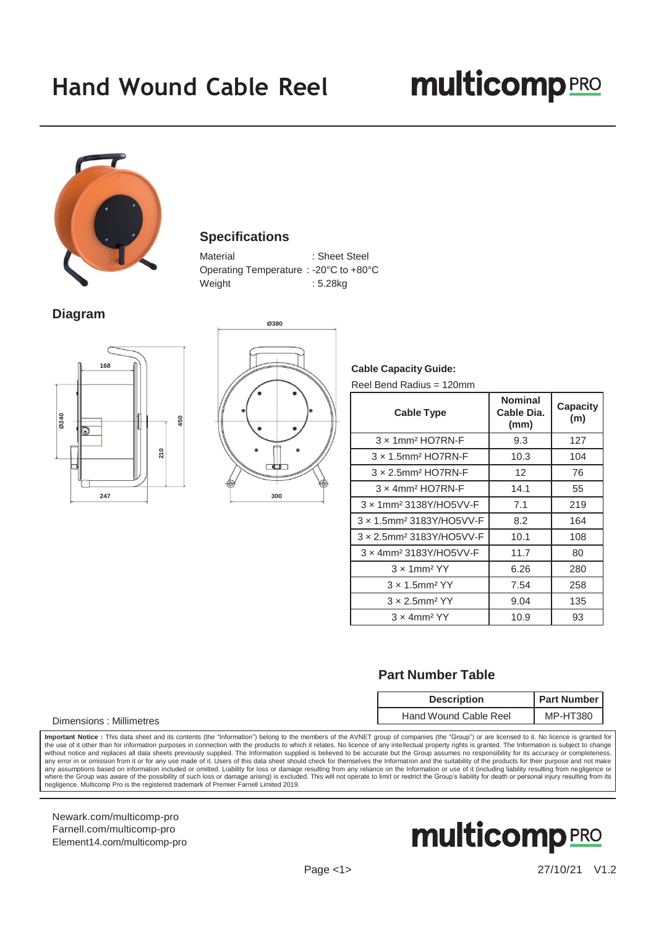## **multicomp**<sub>PRO</sub>



## **Specifications**

Material : Sheet Steel Operating Temperature : -20°C to +80°C Weight : 5.28kg

## **Diagram** and  $\overline{\phantom{a}}$  assessment to  $\overline{\phantom{a}}$





**Cable Capacity Guide:** Reel Bend Radius = 120mm

| <b>Cable Type</b>                            | <b>Nominal</b><br>Cable Dia.<br>(mm) | <b>Capacity</b><br>(m) |
|----------------------------------------------|--------------------------------------|------------------------|
| $3 \times 1$ mm <sup>2</sup> HO7RN-F         | 9.3                                  | 127                    |
| $3 \times 1.5$ mm <sup>2</sup> HO7RN-F       | 10.3                                 | 104                    |
| $3 \times 2.5$ mm <sup>2</sup> HO7RN-F       | 12                                   | 76                     |
| $3 \times 4$ mm <sup>2</sup> HO7RN-F         | 14.1                                 | 55                     |
| 3 x 1mm <sup>2</sup> 3138Y/HO5VV-F           | 7.1                                  | 219                    |
| $3 \times 1.5$ mm <sup>2</sup> 3183Y/HO5VV-F | 8.2                                  | 164                    |
| 3 x 2.5mm <sup>2</sup> 3183Y/HO5VV-F         | 10.1                                 | 108                    |
| $3 \times 4$ mm <sup>2</sup> 3183Y/HO5VV-F   | 11.7                                 | 80                     |
| $3 \times 1$ mm <sup>2</sup> YY              | 6.26                                 | 280                    |
| $3 \times 1.5$ mm <sup>2</sup> YY            | 7.54                                 | 258                    |
| $3 \times 2.5$ mm <sup>2</sup> YY            | 9.04                                 | 135                    |
| $3 \times 4$ mm <sup>2</sup> YY              | 10.9                                 | 93                     |

## **Part Number Table**

| <b>Description</b>    | <b>Part Number I</b> |
|-----------------------|----------------------|
| Hand Wound Cable Reel | MP-HT380             |

**Important Notice :** This data sheet and its contents (the "Information") belong to the members of the AVNET group of companies (the "Group") or are licensed to it. No licence is granted for<br>the use of it other than for in any error in or omission from it or for any use made of it. Users of this data sheet should check for themselves the Information and the suitability of the products for their purpose and not make any assumptions based on information included or omitted. Liability for loss or damage resulting from any reliance on the Information or use of it (including liability resulting from negligence or where the Group was aware of the possibility of such loss or damage arising) is excluded. This will not operate to limit or restrict the Group's liability for death or personal injury resulting from its negligence. Multicomp Pro is the registered trademark of Premier Farnell Limited 2019.

[Newark.com/multicomp-](https://www.newark.com/multicomp-pro)pro [Farnell.com/multicomp-](https://www.farnell.com/multicomp-pro)pro [Element14.com/multicomp-pro](https://element14.com/multicomp-pro)

Dimensions : Millimetres